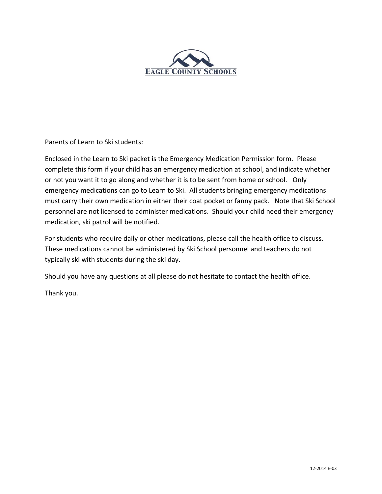

Parents of Learn to Ski students:

Enclosed in the Learn to Ski packet is the Emergency Medication Permission form. Please complete this form if your child has an emergency medication at school, and indicate whether or not you want it to go along and whether it is to be sent from home or school. Only emergency medications can go to Learn to Ski. All students bringing emergency medications must carry their own medication in either their coat pocket or fanny pack. Note that Ski School personnel are not licensed to administer medications. Should your child need their emergency medication, ski patrol will be notified.

For students who require daily or other medications, please call the health office to discuss. These medications cannot be administered by Ski School personnel and teachers do not typically ski with students during the ski day.

Should you have any questions at all please do not hesitate to contact the health office.

Thank you.